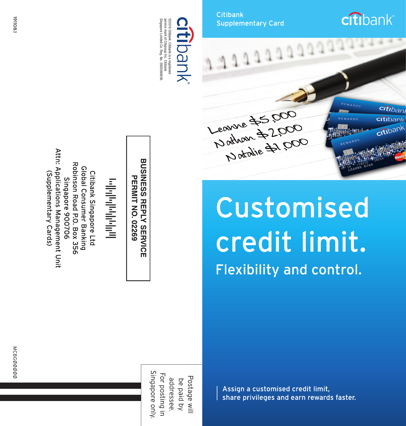Attn: Applications Management Unit Robinson Road P.O. Box 356 Global Consumer Banking (Supplementary Cards) Citibank Singapore Ltd Singapore 900706

**BUSINESS REPLY SERVICE PERMIT NO. 02269** 

©2019 Cithank. Cithank is a registered<br>service mark of Citigroup Inc. Cithank<br>Singapore Limited Co. Reg. No. 200309495K id<br>Olio  $\underline{\mathbb{C}}$ 

**Citibank** Supplementary Card





Customised credit limit. **Flexibility and control.** 

Singapore only For posting ir Postage wil addressee. be paid by

Assign a customised credit limit, share privileges and earn rewards faster.